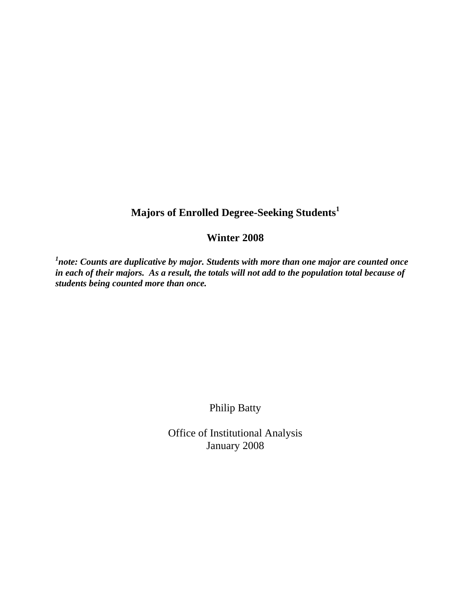## **Majors of Enrolled Degree-Seeking Students<sup>1</sup>**

## **Winter 2008**

*1 note: Counts are duplicative by major. Students with more than one major are counted once in each of their majors. As a result, the totals will not add to the population total because of students being counted more than once.* 

Philip Batty

Office of Institutional Analysis January 2008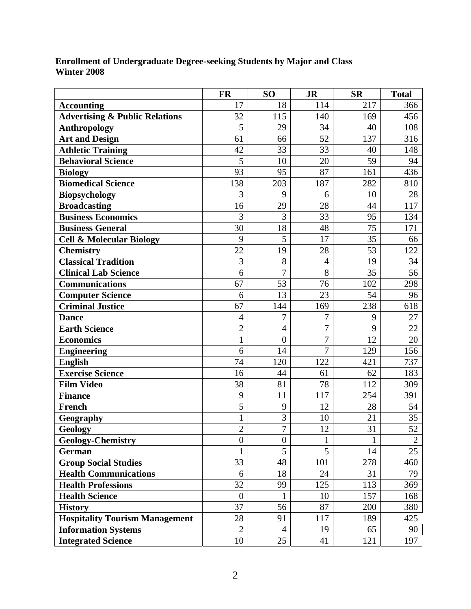| <b>Enrollment of Undergraduate Degree-seeking Students by Major and Class</b> |  |  |
|-------------------------------------------------------------------------------|--|--|
| Winter 2008                                                                   |  |  |

|                                           | <b>FR</b>        | S <sub>O</sub>   | <b>JR</b>      | <b>SR</b> | <b>Total</b>   |
|-------------------------------------------|------------------|------------------|----------------|-----------|----------------|
| <b>Accounting</b>                         | 17               | 18               | 114            | 217       | 366            |
| <b>Advertising &amp; Public Relations</b> | 32               | 115              | 140            | 169       | 456            |
| <b>Anthropology</b>                       | 5                | 29               | 34             | 40        | 108            |
| <b>Art and Design</b>                     | 61               | 66               | 52             | 137       | 316            |
| <b>Athletic Training</b>                  | 42               | 33               | 33             | 40        | 148            |
| <b>Behavioral Science</b>                 | 5                | 10               | 20             | 59        | 94             |
| <b>Biology</b>                            | 93               | 95               | 87             | 161       | 436            |
| <b>Biomedical Science</b>                 | 138              | 203              | 187            | 282       | 810            |
| <b>Biopsychology</b>                      | 3                | 9                | 6              | 10        | 28             |
| <b>Broadcasting</b>                       | 16               | 29               | 28             | 44        | 117            |
| <b>Business Economics</b>                 | 3                | 3                | 33             | 95        | 134            |
| <b>Business General</b>                   | 30               | 18               | 48             | 75        | 171            |
| <b>Cell &amp; Molecular Biology</b>       | 9                | 5                | 17             | 35        | 66             |
| <b>Chemistry</b>                          | 22               | 19               | 28             | 53        | 122            |
| <b>Classical Tradition</b>                | 3                | 8                | $\overline{4}$ | 19        | 34             |
| <b>Clinical Lab Science</b>               | 6                | $\overline{7}$   | 8              | 35        | 56             |
| <b>Communications</b>                     | 67               | 53               | 76             | 102       | 298            |
| <b>Computer Science</b>                   | 6                | 13               | 23             | 54        | 96             |
| Criminal Justice                          | 67               | 144              | 169            | 238       | 618            |
| <b>Dance</b>                              | $\overline{4}$   | $\overline{7}$   | $\overline{7}$ | 9         | 27             |
| <b>Earth Science</b>                      | $\overline{c}$   | $\overline{4}$   | $\overline{7}$ | 9         | 22             |
| <b>Economics</b>                          | $\mathbf{1}$     | $\overline{0}$   | $\overline{7}$ | 12        | 20             |
| <b>Engineering</b>                        | 6                | 14               | $\overline{7}$ | 129       | 156            |
| <b>English</b>                            | 74               | 120              | 122            | 421       | 737            |
| <b>Exercise Science</b>                   | 16               | 44               | 61             | 62        | 183            |
| <b>Film Video</b>                         | 38               | 81               | 78             | 112       | 309            |
| <b>Finance</b>                            | 9                | 11               | 117            | 254       | 391            |
| French                                    | 5                | 9                | 12             | 28        | 54             |
| Geography                                 | $\mathbf{1}$     | 3                | 10             | 21        | 35             |
| Geology                                   | $\overline{2}$   | $\overline{7}$   | 12             | 31        | 52             |
| <b>Geology-Chemistry</b>                  | $\boldsymbol{0}$ | $\boldsymbol{0}$ | 1              | 1         | $\overline{2}$ |
| German                                    | $\mathbf{1}$     | 5                | 5              | 14        | 25             |
| <b>Group Social Studies</b>               | 33               | 48               | 101            | 278       | 460            |
| <b>Health Communications</b>              | 6                | 18               | 24             | 31        | 79             |
| <b>Health Professions</b>                 | 32               | 99               | 125            | 113       | 369            |
| <b>Health Science</b>                     | $\overline{0}$   | 1                | 10             | 157       | 168            |
| <b>History</b>                            | 37               | 56               | 87             | 200       | 380            |
| <b>Hospitality Tourism Management</b>     | 28               | 91               | 117            | 189       | 425            |
| <b>Information Systems</b>                | $\overline{2}$   | $\overline{4}$   | 19             | 65        | 90             |
| <b>Integrated Science</b>                 | 10               | 25               | 41             | 121       | 197            |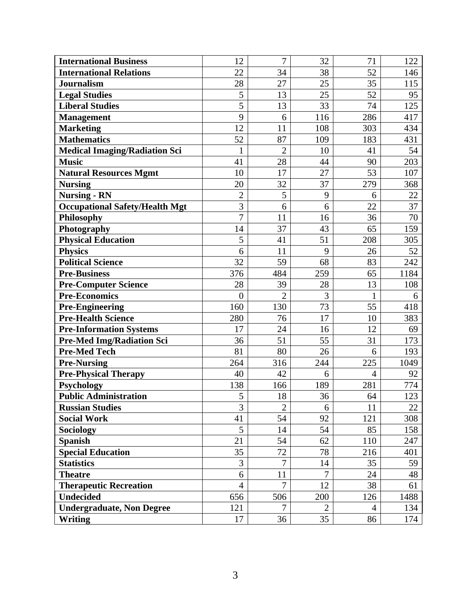| <b>International Business</b>         | 12             | $\overline{7}$ | 32                   | 71      | 122         |
|---------------------------------------|----------------|----------------|----------------------|---------|-------------|
| <b>International Relations</b>        | 22             | 34             | 38                   | 52      | 146         |
| <b>Journalism</b>                     | 28             | 27             | 25                   | 35      | 115         |
| <b>Legal Studies</b>                  | 5              | 13             | 25                   | 52      | 95          |
| <b>Liberal Studies</b>                | $\overline{5}$ | 13             | 33                   | 74      | 125         |
| <b>Management</b>                     | 9              | 6              | 116                  | 286     | 417         |
| <b>Marketing</b>                      | 12             | 11             | 108                  | 303     | 434         |
| <b>Mathematics</b>                    | 52             | 87             | 109                  | 183     | 431         |
| <b>Medical Imaging/Radiation Sci</b>  | $\mathbf{1}$   | $\overline{2}$ | 10                   | 41      | 54          |
| <b>Music</b>                          | 41             | 28             | 44                   | 90      | 203         |
| <b>Natural Resources Mgmt</b>         | 10             | 17             | 27                   | 53      | 107         |
| <b>Nursing</b>                        | 20             | 32             | 37                   | 279     | 368         |
| <b>Nursing - RN</b>                   | $\overline{2}$ | 5              | 9                    | 6       | 22          |
| <b>Occupational Safety/Health Mgt</b> | 3              | 6              | 6                    | 22      | 37          |
| Philosophy                            | $\overline{7}$ | 11             | 16                   | 36      | 70          |
| Photography                           | 14             | 37             | 43                   | 65      | 159         |
| <b>Physical Education</b>             | 5              | 41             | 51                   | 208     | 305         |
| <b>Physics</b>                        | 6              | 11             | 9                    | 26      | 52          |
| <b>Political Science</b>              | 32             | 59             | 68                   | 83      | 242         |
| <b>Pre-Business</b>                   | 376            | 484            | 259                  | 65      | 1184        |
| <b>Pre-Computer Science</b>           | 28             | 39             | 28                   | 13      | 108         |
| <b>Pre-Economics</b>                  | $\overline{0}$ | $\overline{2}$ | 3                    | 1       | 6           |
| <b>Pre-Engineering</b>                | 160            | 130            | 73                   | 55      | 418         |
| <b>Pre-Health Science</b>             | 280            | 76             | 17                   | 10      | 383         |
| <b>Pre-Information Systems</b>        | 17             | 24             | 16                   | 12      | 69          |
| <b>Pre-Med Img/Radiation Sci</b>      | 36             | 51             | 55                   | 31      | 173         |
| <b>Pre-Med Tech</b>                   | 81             | 80             | 26                   | 6       | 193         |
| <b>Pre-Nursing</b>                    | 264            | 316            | 244                  | 225     | 1049        |
| <b>Pre-Physical Therapy</b>           | 40             | 42             | 6                    | 4       | 92          |
| <b>Psychology</b>                     | 138            | 166            | 189                  | 281     | 774         |
| <b>Public Administration</b>          | 5              | 18             | 36                   | 64      | 123         |
| <b>Russian Studies</b>                | 3              | $\overline{2}$ | 6                    | 11      | 22          |
| <b>Social Work</b>                    | 41             | 54             | 92                   | 121     | 308         |
| Sociology                             | 5              | 14             | 54                   | 85      | 158         |
| <b>Spanish</b>                        | 21             | 54             | 62                   | 110     | 247         |
| <b>Special Education</b>              | 35             | 72             | 78                   | 216     | 401         |
| <b>Statistics</b>                     | 3              | $\overline{7}$ | 14                   | 35      | 59          |
| <b>Theatre</b>                        | 6              | 11             | $\overline{7}$       | 24      | $\sqrt{48}$ |
| <b>Therapeutic Recreation</b>         | $\overline{4}$ | $\overline{7}$ | 12                   | 38      | 61          |
| <b>Undecided</b>                      | 656            | 506            | 200                  | 126     | 1488        |
| <b>Undergraduate, Non Degree</b>      |                |                |                      |         |             |
| <b>Writing</b>                        | 121<br>17      | 7<br>36        | $\overline{2}$<br>35 | 4<br>86 | 134<br>174  |